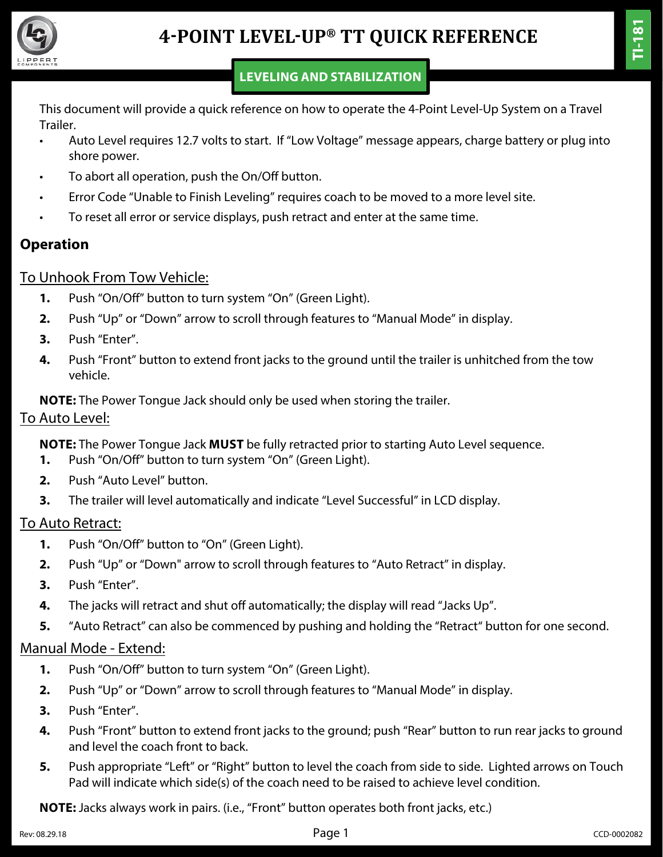

This document will provide a quick reference on how to operate the 4-Point Level-Up System on a Travel Trailer.

- Auto Level requires 12.7 volts to start. If "Low Voltage" message appears, charge battery or plug into shore power.
- To abort all operation, push the On/Off button.
- Error Code "Unable to Finish Leveling" requires coach to be moved to a more level site.
- To reset all error or service displays, push retract and enter at the same time.

## **Operation**

## To Unhook From Tow Vehicle:

- **1.** Push "On/Off" button to turn system "On" (Green Light).
- **2.** Push "Up" or "Down" arrow to scroll through features to "Manual Mode" in display.
- **3.** Push "Enter".
- **4.** Push "Front" button to extend front jacks to the ground until the trailer is unhitched from the tow vehicle.

#### **NOTE:** The Power Tongue Jack should only be used when storing the trailer.

#### To Auto Level:

**NOTE:** The Power Tongue Jack **MUST** be fully retracted prior to starting Auto Level sequence.

- **1.** Push "On/Off" button to turn system "On" (Green Light).
- **2.** Push "Auto Level" button.
- **3.** The trailer will level automatically and indicate "Level Successful" in LCD display.

### To Auto Retract:

- **1.** Push "On/Off" button to "On" (Green Light).
- **2.** Push "Up" or "Down" arrow to scroll through features to "Auto Retract" in display.
- **3.** Push "Enter".
- **4.** The jacks will retract and shut off automatically; the display will read "Jacks Up".
- **5.** "Auto Retract" can also be commenced by pushing and holding the "Retract" button for one second.

## Manual Mode - Extend:

- **1.** Push "On/Off" button to turn system "On" (Green Light).
- **2.** Push "Up" or "Down" arrow to scroll through features to "Manual Mode" in display.
- **3.** Push "Enter".
- **4.** Push "Front" button to extend front jacks to the ground; push "Rear" button to run rear jacks to ground and level the coach front to back.
- **5.** Push appropriate "Left" or "Right" button to level the coach from side to side. Lighted arrows on Touch Pad will indicate which side(s) of the coach need to be raised to achieve level condition.

**NOTE:** Jacks always work in pairs. (i.e., "Front" button operates both front jacks, etc.)